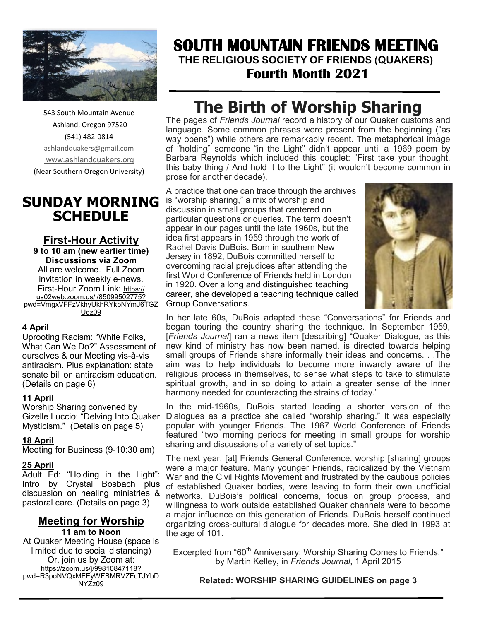

543 South Mountain Avenue Ashland, Oregon 97520 (541) 482-0814 [ashlandquakers@gmail.com](mailto:ashlandquakers@gmail.com) [www.ashlandquakers.org](http://www.ashlandquakers.org) (Near Southern Oregon University)

### **SUNDAY MORNING SCHEDULE**

**First-Hour Activity 9 to 10 am (new earlier time) Discussions via Zoom** All are welcome. Full Zoom invitation in weekly e-news. First-Hour Zoom Link: [https://](https://us02web.zoom.us/j/85099502775?pwd=VmgxVFFzVkhyUkhRYkpNYmJ6TGZUdz09) [us02web.zoom.us/j/85099502775?](https://us02web.zoom.us/j/85099502775?pwd=VmgxVFFzVkhyUkhRYkpNYmJ6TGZUdz09) [pwd=VmgxVFFzVkhyUkhRYkpNYmJ6TGZ](https://us02web.zoom.us/j/85099502775?pwd=VmgxVFFzVkhyUkhRYkpNYmJ6TGZUdz09) [Udz09](https://us02web.zoom.us/j/85099502775?pwd=VmgxVFFzVkhyUkhRYkpNYmJ6TGZUdz09)

### **4 April**

Uprooting Racism: "White Folks, What Can We Do?" Assessment of ourselves & our Meeting vis-à-vis antiracism. Plus explanation: state senate bill on antiracism education. (Details on page 6)

#### **11 April**

Worship Sharing convened by Gizelle Luccio: "Delving Into Quaker Mysticism." (Details on page 5)

#### **18 April**

Meeting for Business (9-10:30 am)

#### **25 April**

Adult Ed: "Holding in the Light": Intro by Crystal Bosbach plus discussion on healing ministries & pastoral care. (Details on page 3)

#### **Meeting for Worship 11 am to Noon**

At Quaker Meeting House (space is limited due to social distancing) Or, join us by Zoom at: [https://zoom.us/j/99810847118?](https://zoom.us/j/99810847118?pwd=R3poNVQxMFEyWFBMRVZFcTJYbDNYZz09) [pwd=R3poNVQxMFEyWFBMRVZFcTJYbD](https://zoom.us/j/99810847118?pwd=R3poNVQxMFEyWFBMRVZFcTJYbDNYZz09) [NYZz09](https://zoom.us/j/99810847118?pwd=R3poNVQxMFEyWFBMRVZFcTJYbDNYZz09)

## **SOUTH MOUNTAIN FRIENDS MEETING**

**THE RELIGIOUS SOCIETY OF FRIENDS (QUAKERS)**

**Fourth Month 2021** 

# **The Birth of Worship Sharing**

The pages of *Friends Journal* record a history of our Quaker customs and language. Some common phrases were present from the beginning ("as way opens") while others are remarkably recent. The metaphorical image of "holding" someone "in the Light" didn't appear until a 1969 poem by Barbara Reynolds which included this couplet: "First take your thought, this baby thing / And hold it to the Light" (it wouldn't become common in prose for another decade).

A practice that one can trace through the archives is "worship sharing," a mix of worship and discussion in small groups that centered on particular questions or queries. The term doesn't appear in our pages until the late 1960s, but the idea first appears in 1959 through the work of Rachel Davis DuBois. Born in southern New Jersey in 1892, DuBois committed herself to overcoming racial prejudices after attending the first World Conference of Friends held in London in 1920. Over a long and distinguished teaching career, she developed a teaching technique called Group Conversations.



In her late 60s, DuBois adapted these "Conversations" for Friends and began touring the country sharing the technique. In September 1959, [*Friends Journal*] ran a news item [describing] "Quaker Dialogue, as this new kind of ministry has now been named, is directed towards helping small groups of Friends share informally their ideas and concerns. . .The aim was to help individuals to become more inwardly aware of the religious process in themselves, to sense what steps to take to stimulate spiritual growth, and in so doing to attain a greater sense of the inner harmony needed for counteracting the strains of today."

In the mid-1960s, DuBois started leading a shorter version of the Dialogues as a practice she called "worship sharing." It was especially popular with younger Friends. The 1967 World Conference of Friends featured "two morning periods for meeting in small groups for worship sharing and discussions of a variety of set topics."

The next year, [at] Friends General Conference, worship [sharing] groups were a major feature. Many younger Friends, radicalized by the Vietnam War and the Civil Rights Movement and frustrated by the cautious policies of established Quaker bodies, were leaving to form their own unofficial networks. DuBois's political concerns, focus on group process, and willingness to work outside established Quaker channels were to become a major influence on this generation of Friends. DuBois herself continued organizing cross-cultural dialogue for decades more. She died in 1993 at the age of 101.

Excerpted from "60<sup>th</sup> Anniversary: Worship Sharing Comes to Friends," by Martin Kelley, in *Friends Journal*, 1 April 2015

### **Related: WORSHIP SHARING GUIDELINES on page 3**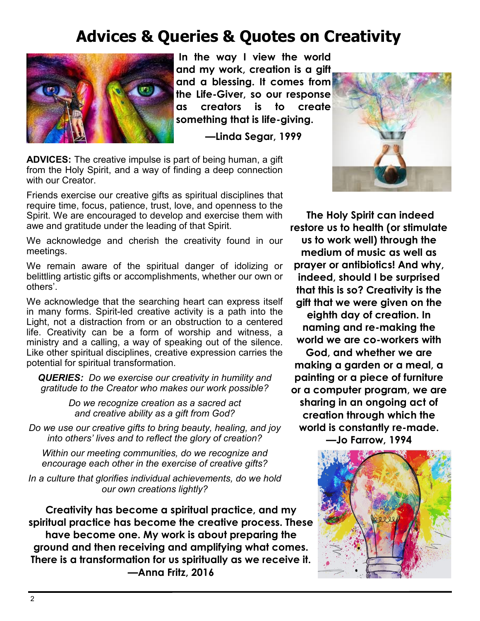## **Advices & Queries & Quotes on Creativity**



**In the way I view the world and my work, creation is a gift and a blessing. It comes from the Life-Giver, so our response as creators is to create something that is life-giving.** 

**—Linda Segar, 1999** 

**ADVICES:** The creative impulse is part of being human, a gift from the Holy Spirit, and a way of finding a deep connection with our Creator.

Friends exercise our creative gifts as spiritual disciplines that require time, focus, patience, trust, love, and openness to the Spirit. We are encouraged to develop and exercise them with awe and gratitude under the leading of that Spirit.

We acknowledge and cherish the creativity found in our meetings.

We remain aware of the spiritual danger of idolizing or belittling artistic gifts or accomplishments, whether our own or others'.

We acknowledge that the searching heart can express itself in many forms. Spirit-led creative activity is a path into the Light, not a distraction from or an obstruction to a centered life. Creativity can be a form of worship and witness, a ministry and a calling, a way of speaking out of the silence. Like other spiritual disciplines, creative expression carries the potential for spiritual transformation.

*QUERIES: Do we exercise our creativity in humility and gratitude to the Creator who makes our work possible?* 

> *Do we recognize creation as a sacred act and creative ability as a gift from God?*

*Do we use our creative gifts to bring beauty, healing, and joy into others' lives and to reflect the glory of creation?* 

*Within our meeting communities, do we recognize and encourage each other in the exercise of creative gifts?* 

*In a culture that glorifies individual achievements, do we hold our own creations lightly?*

**Creativity has become a spiritual practice, and my spiritual practice has become the creative process. These have become one. My work is about preparing the ground and then receiving and amplifying what comes. There is a transformation for us spiritually as we receive it. —Anna Fritz, 2016** 



**The Holy Spirit can indeed restore us to health (or stimulate us to work well) through the medium of music as well as prayer or antibiotics! And why, indeed, should I be surprised that this is so? Creativity is the gift that we were given on the eighth day of creation. In naming and re-making the world we are co-workers with God, and whether we are making a garden or a meal, a painting or a piece of furniture or a computer program, we are sharing in an ongoing act of creation through which the world is constantly re-made. —Jo Farrow, 1994** 

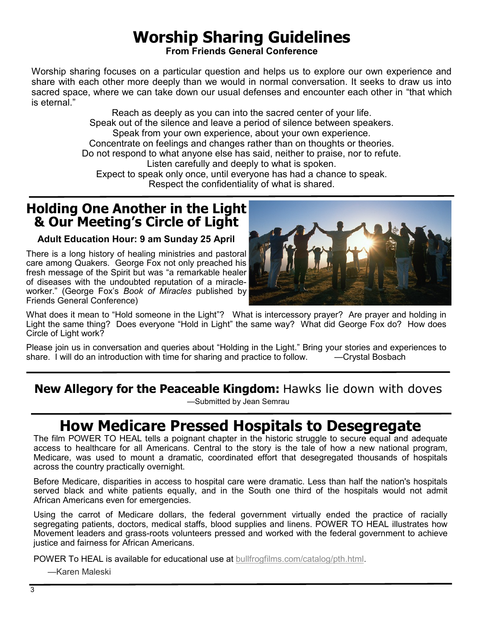# **Worship Sharing Guidelines**

**From Friends General Conference**

Worship sharing focuses on a particular question and helps us to explore our own experience and share with each other more deeply than we would in normal conversation. It seeks to draw us into sacred space, where we can take down our usual defenses and encounter each other in "that which is eternal."

> Reach as deeply as you can into the sacred center of your life. Speak out of the silence and leave a period of silence between speakers. Speak from your own experience, about your own experience. Concentrate on feelings and changes rather than on thoughts or theories. Do not respond to what anyone else has said, neither to praise, nor to refute. Listen carefully and deeply to what is spoken. Expect to speak only once, until everyone has had a chance to speak.

Respect the confidentiality of what is shared.

### **Holding One Another in the Light & Our Meeting's Circle of Light**

**Adult Education Hour: 9 am Sunday 25 April** 

There is a long history of healing ministries and pastoral care among Quakers. George Fox not only preached his fresh message of the Spirit but was "a remarkable healer of diseases with the undoubted reputation of a miracleworker." (George Fox's *Book of Miracles* published by Friends General Conference)



What does it mean to "Hold someone in the Light"? What is intercessory prayer? Are prayer and holding in Light the same thing? Does everyone "Hold in Light" the same way? What did George Fox do? How does Circle of Light work?

Please join us in conversation and queries about "Holding in the Light." Bring your stories and experiences to share. I will do an introduction with time for sharing and practice to follow. — Crystal Bosbach

### **New Allegory for the Peaceable Kingdom:** Hawks lie down with doves

—Submitted by Jean Semrau

## **How Medicare Pressed Hospitals to Desegregate**

The film POWER TO HEAL tells a poignant chapter in the historic struggle to secure equal and adequate access to healthcare for all Americans. Central to the story is the tale of how a new national program, Medicare, was used to mount a dramatic, coordinated effort that desegregated thousands of hospitals across the country practically overnight.

Before Medicare, disparities in access to hospital care were dramatic. Less than half the nation's hospitals served black and white patients equally, and in the South one third of the hospitals would not admit African Americans even for emergencies.

Using the carrot of Medicare dollars, the federal government virtually ended the practice of racially segregating patients, doctors, medical staffs, blood supplies and linens. POWER TO HEAL illustrates how Movement leaders and grass-roots volunteers pressed and worked with the federal government to achieve justice and fairness for African Americans.

POWER To HEAL is available for educational use at [bullfrogfilms.com/catalog/pth.html.](http://www.bullfrogfilms.com/catalog/pth.html)

—Karen Maleski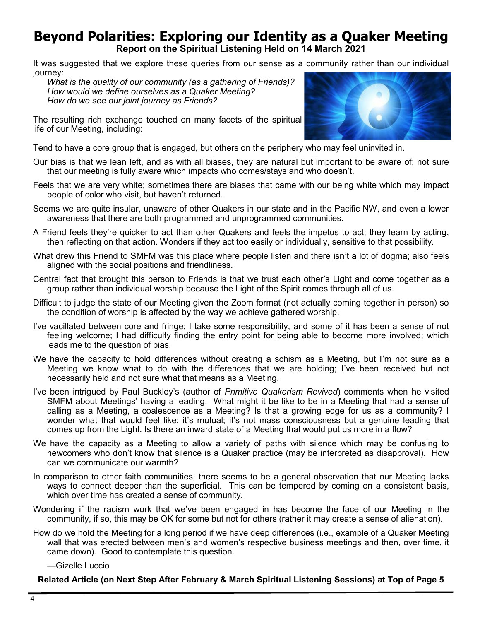### **Beyond Polarities: Exploring our Identity as a Quaker Meeting Report on the Spiritual Listening Held on 14 March 2021**

It was suggested that we explore these queries from our sense as a community rather than our individual journey:

*What is the quality of our community (as a gathering of Friends)? How would we define ourselves as a Quaker Meeting? How do we see our joint journey as Friends?*



The resulting rich exchange touched on many facets of the spiritual life of our Meeting, including:

Tend to have a core group that is engaged, but others on the periphery who may feel uninvited in.

- Our bias is that we lean left, and as with all biases, they are natural but important to be aware of; not sure that our meeting is fully aware which impacts who comes/stays and who doesn't.
- Feels that we are very white; sometimes there are biases that came with our being white which may impact people of color who visit, but haven't returned.
- Seems we are quite insular, unaware of other Quakers in our state and in the Pacific NW, and even a lower awareness that there are both programmed and unprogrammed communities.
- A Friend feels they're quicker to act than other Quakers and feels the impetus to act; they learn by acting, then reflecting on that action. Wonders if they act too easily or individually, sensitive to that possibility.
- What drew this Friend to SMFM was this place where people listen and there isn't a lot of dogma; also feels aligned with the social positions and friendliness.
- Central fact that brought this person to Friends is that we trust each other's Light and come together as a group rather than individual worship because the Light of the Spirit comes through all of us.
- Difficult to judge the state of our Meeting given the Zoom format (not actually coming together in person) so the condition of worship is affected by the way we achieve gathered worship.
- I've vacillated between core and fringe; I take some responsibility, and some of it has been a sense of not feeling welcome; I had difficulty finding the entry point for being able to become more involved; which leads me to the question of bias.
- We have the capacity to hold differences without creating a schism as a Meeting, but I'm not sure as a Meeting we know what to do with the differences that we are holding; I've been received but not necessarily held and not sure what that means as a Meeting.
- I've been intrigued by Paul Buckley's (author of *Primitive Quakerism Revived*) comments when he visited SMFM about Meetings' having a leading. What might it be like to be in a Meeting that had a sense of calling as a Meeting, a coalescence as a Meeting? Is that a growing edge for us as a community? I wonder what that would feel like; it's mutual; it's not mass consciousness but a genuine leading that comes up from the Light. Is there an inward state of a Meeting that would put us more in a flow?
- We have the capacity as a Meeting to allow a variety of paths with silence which may be confusing to newcomers who don't know that silence is a Quaker practice (may be interpreted as disapproval). How can we communicate our warmth?
- In comparison to other faith communities, there seems to be a general observation that our Meeting lacks ways to connect deeper than the superficial. This can be tempered by coming on a consistent basis, which over time has created a sense of community.
- Wondering if the racism work that we've been engaged in has become the face of our Meeting in the community, if so, this may be OK for some but not for others (rather it may create a sense of alienation).
- How do we hold the Meeting for a long period if we have deep differences (i.e., example of a Quaker Meeting wall that was erected between men's and women's respective business meetings and then, over time, it came down). Good to contemplate this question.

—Gizelle Luccio

**Related Article (on Next Step After February & March Spiritual Listening Sessions) at Top of Page 5**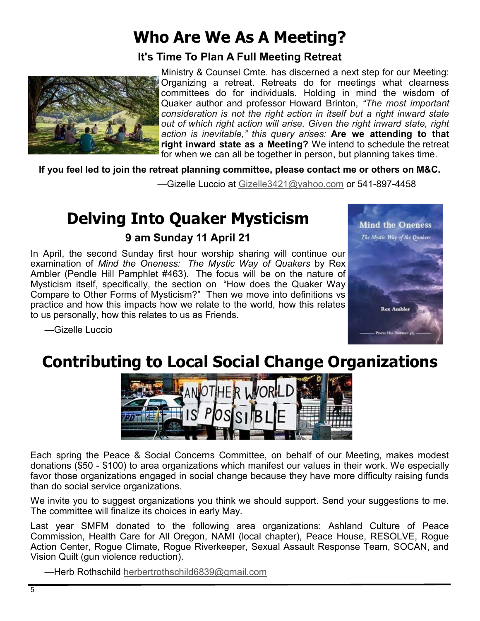# **Who Are We As A Meeting?**

**It's Time To Plan A Full Meeting Retreat**



Ministry & Counsel Cmte. has discerned a next step for our Meeting: Organizing a retreat. Retreats do for meetings what clearness committees do for individuals. Holding in mind the wisdom of Quaker author and professor Howard Brinton, *"The most important consideration is not the right action in itself but a right inward state out of which right action will arise. Given the right inward state, right action is inevitable," this query arises:* **Are we attending to that right inward state as a Meeting?** We intend to schedule the retreat for when we can all be together in person, but planning takes time.

**If you feel led to join the retreat planning committee, please contact me or others on M&C.**

—Gizelle Luccio at [Gizelle3421@yahoo.com](mailto:Gizelle3421@yahoo.com) or 541-897-4458

# **Delving Into Quaker Mysticism**

**9 am Sunday 11 April 21**

In April, the second Sunday first hour worship sharing will continue our examination of *Mind the Oneness: The Mystic Way of Quakers* by Rex Ambler (Pendle Hill Pamphlet #463). The focus will be on the nature of Mysticism itself, specifically, the section on "How does the Quaker Way Compare to Other Forms of Mysticism?" Then we move into definitions vs practice and how this impacts how we relate to the world, how this relates to us personally, how this relates to us as Friends.



—Gizelle Luccio

# **Contributing to Local Social Change Organizations**



Each spring the Peace & Social Concerns Committee, on behalf of our Meeting, makes modest donations (\$50 - \$100) to area organizations which manifest our values in their work. We especially favor those organizations engaged in social change because they have more difficulty raising funds than do social service organizations.

We invite you to suggest organizations you think we should support. Send your suggestions to me. The committee will finalize its choices in early May.

Last year SMFM donated to the following area organizations: Ashland Culture of Peace Commission, Health Care for All Oregon, NAMI (local chapter), Peace House, RESOLVE, Rogue Action Center, Rogue Climate, Rogue Riverkeeper, Sexual Assault Response Team, SOCAN, and Vision Quilt (gun violence reduction).

—Herb Rothschild [herbertrothschild6839@gmail.com](mailto:herbertrothschild6839@gmail.com)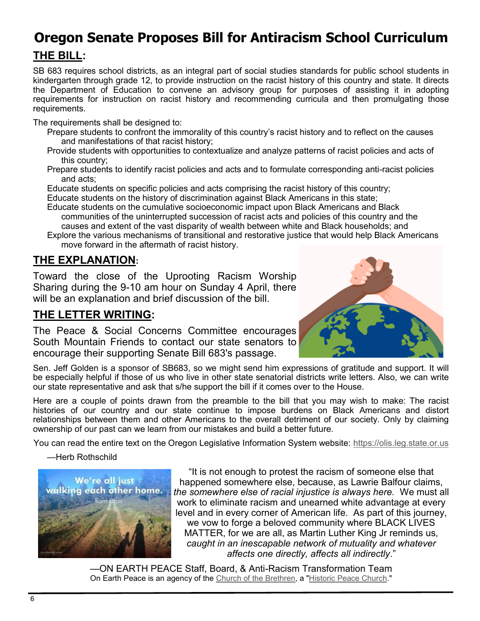## **Oregon Senate Proposes Bill for Antiracism School Curriculum THE BILL:**

SB 683 requires school districts, as an integral part of social studies standards for public school students in kindergarten through grade 12, to provide instruction on the racist history of this country and state. It directs the Department of Education to convene an advisory group for purposes of assisting it in adopting requirements for instruction on racist history and recommending curricula and then promulgating those requirements.

The requirements shall be designed to:

- Prepare students to confront the immorality of this country's racist history and to reflect on the causes and manifestations of that racist history;
- Provide students with opportunities to contextualize and analyze patterns of racist policies and acts of this country;
- Prepare students to identify racist policies and acts and to formulate corresponding anti-racist policies and acts;
- Educate students on specific policies and acts comprising the racist history of this country;
- Educate students on the history of discrimination against Black Americans in this state;
- Educate students on the cumulative socioeconomic impact upon Black Americans and Black communities of the uninterrupted succession of racist acts and policies of this country and the causes and extent of the vast disparity of wealth between white and Black households; and Explore the various mechanisms of transitional and restorative justice that would help Black Americans
- move forward in the aftermath of racist history.

### **THE EXPLANATION:**

Toward the close of the Uprooting Racism Worship Sharing during the 9-10 am hour on Sunday 4 April, there will be an explanation and brief discussion of the bill.

### **THE LETTER WRITING:**

The Peace & Social Concerns Committee encourages South Mountain Friends to contact our state senators to encourage their supporting Senate Bill 683's passage.



Sen. Jeff Golden is a sponsor of SB683, so we might send him expressions of gratitude and support. It will be especially helpful if those of us who live in other state senatorial districts write letters. Also, we can write our state representative and ask that s/he support the bill if it comes over to the House.

Here are a couple of points drawn from the preamble to the bill that you may wish to make: The racist histories of our country and our state continue to impose burdens on Black Americans and distort relationships between them and other Americans to the overall detriment of our society. Only by claiming ownership of our past can we learn from our mistakes and build a better future.

You can read the entire text on the Oregon Legislative Information System website: <https://olis.leg.state.or.us>

—Herb Rothschild



"It is not enough to protest the racism of someone else that happened somewhere else, because, as Lawrie Balfour claims, *the somewhere else of racial injustice is always here.* We must all work to eliminate racism and unearned white advantage at every level and in every corner of American life. As part of this journey, we vow to forge a beloved community where BLACK LIVES MATTER, for we are all, as Martin Luther King Jr reminds us, *caught in an inescapable network of mutuality and whatever affects one directly, affects all indirectly*."

—ON EARTH PEACE Staff, Board, & Anti-Racism Transformation Team On Earth Peace is an agency of the [Church of the Brethren,](http://www.brethren.org/) a ["Historic Peace Church."](https://www.onearthpeace.org/hpc)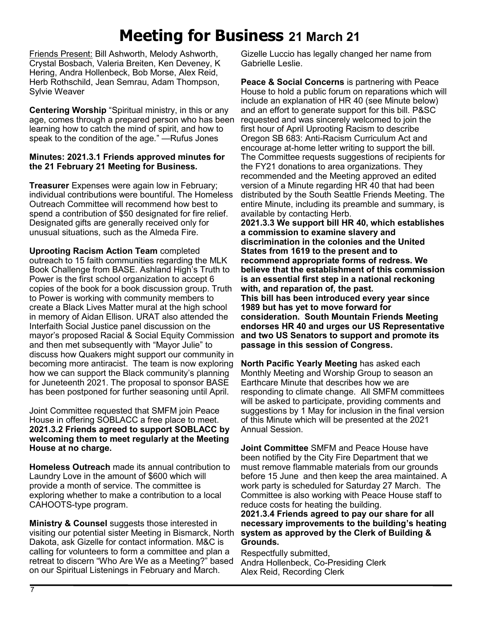# **Meeting for Business 21 March 21**

Friends Present: Bill Ashworth, Melody Ashworth, Crystal Bosbach, Valeria Breiten, Ken Deveney, K Hering, Andra Hollenbeck, Bob Morse, Alex Reid, Herb Rothschild, Jean Semrau, Adam Thompson, Sylvie Weaver

**Centering Worship** "Spiritual ministry, in this or any age, comes through a prepared person who has been learning how to catch the mind of spirit, and how to speak to the condition of the age." —Rufus Jones

### **Minutes: 2021.3.1 Friends approved minutes for the 21 February 21 Meeting for Business.**

**Treasurer** Expenses were again low in February; individual contributions were bountiful. The Homeless Outreach Committee will recommend how best to spend a contribution of \$50 designated for fire relief. Designated gifts are generally received only for unusual situations, such as the Almeda Fire.

**Uprooting Racism Action Team** completed outreach to 15 faith communities regarding the MLK Book Challenge from BASE. Ashland High's Truth to Power is the first school organization to accept 6 copies of the book for a book discussion group. Truth to Power is working with community members to create a Black Lives Matter mural at the high school in memory of Aidan Ellison. URAT also attended the Interfaith Social Justice panel discussion on the mayor's proposed Racial & Social Equity Commission and then met subsequently with "Mayor Julie" to discuss how Quakers might support our community in becoming more antiracist. The team is now exploring how we can support the Black community's planning for Juneteenth 2021. The proposal to sponsor BASE has been postponed for further seasoning until April.

Joint Committee requested that SMFM join Peace House in offering SOBLACC a free place to meet. **2021.3.2 Friends agreed to support SOBLACC by welcoming them to meet regularly at the Meeting House at no charge.**

**Homeless Outreach** made its annual contribution to Laundry Love in the amount of \$600 which will provide a month of service. The committee is exploring whether to make a contribution to a local CAHOOTS-type program.

**Ministry & Counsel** suggests those interested in visiting our potential sister Meeting in Bismarck, North Dakota, ask Gizelle for contact information. M&C is calling for volunteers to form a committee and plan a retreat to discern "Who Are We as a Meeting?" based on our Spiritual Listenings in February and March.

Gizelle Luccio has legally changed her name from Gabrielle Leslie.

**Peace & Social Concerns** is partnering with Peace House to hold a public forum on reparations which will include an explanation of HR 40 (see Minute below) and an effort to generate support for this bill. P&SC requested and was sincerely welcomed to join the first hour of April Uprooting Racism to describe Oregon SB 683: Anti-Racism Curriculum Act and encourage at-home letter writing to support the bill. The Committee requests suggestions of recipients for the FY21 donations to area organizations. They recommended and the Meeting approved an edited version of a Minute regarding HR 40 that had been distributed by the South Seattle Friends Meeting. The entire Minute, including its preamble and summary, is available by contacting Herb.

**2021.3.3 We support bill HR 40, which establishes a commission to examine slavery and discrimination in the colonies and the United States from 1619 to the present and to recommend appropriate forms of redress. We believe that the establishment of this commission is an essential first step in a national reckoning with, and reparation of, the past. This bill has been introduced every year since 1989 but has yet to move forward for consideration. South Mountain Friends Meeting endorses HR 40 and urges our US Representative and two US Senators to support and promote its passage in this session of Congress.**

**North Pacific Yearly Meeting** has asked each Monthly Meeting and Worship Group to season an Earthcare Minute that describes how we are responding to climate change. All SMFM committees will be asked to participate, providing comments and suggestions by 1 May for inclusion in the final version of this Minute which will be presented at the 2021 Annual Session.

**Joint Committee** SMFM and Peace House have been notified by the City Fire Department that we must remove flammable materials from our grounds before 15 June and then keep the area maintained. A work party is scheduled for Saturday 27 March. The Committee is also working with Peace House staff to reduce costs for heating the building.

**2021.3.4 Friends agreed to pay our share for all necessary improvements to the building's heating system as approved by the Clerk of Building & Grounds.**

Respectfully submitted, Andra Hollenbeck, Co-Presiding Clerk Alex Reid, Recording Clerk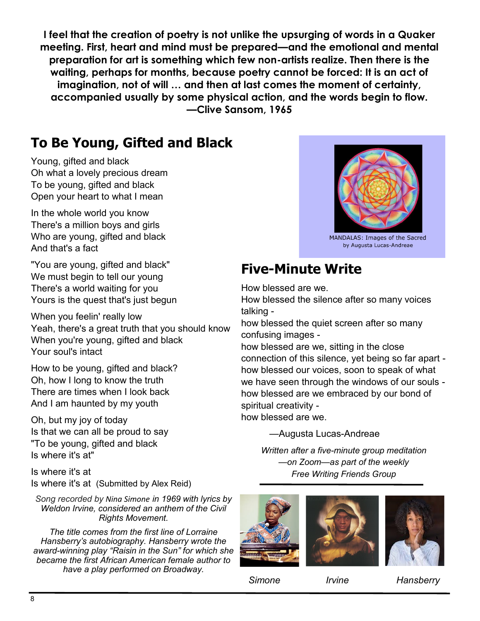**I feel that the creation of poetry is not unlike the upsurging of words in a Quaker meeting. First, heart and mind must be prepared—and the emotional and mental preparation for art is something which few non-artists realize. Then there is the waiting, perhaps for months, because poetry cannot be forced: It is an act of imagination, not of will … and then at last comes the moment of certainty, accompanied usually by some physical action, and the words begin to flow. —Clive Sansom, 1965** 

### **To Be Young, Gifted and Black**

Young, gifted and black Oh what a lovely precious dream To be young, gifted and black Open your heart to what I mean

In the whole world you know There's a million boys and girls Who are young, gifted and black And that's a fact

"You are young, gifted and black" We must begin to tell our young There's a world waiting for you Yours is the quest that's just begun

When you feelin' really low Yeah, there's a great truth that you should know When you're young, gifted and black Your soul's intact

How to be young, gifted and black? Oh, how I long to know the truth There are times when I look back And I am haunted by my youth

Oh, but my joy of today Is that we can all be proud to say "To be young, gifted and black Is where it's at"

Is where it's at Is where it's at (Submitted by Alex Reid)

*Song recorded by Nina Simone in 1969 with lyrics by Weldon Irvine, considered an anthem of the Civil Rights Movement.*

*The title comes from the first line of Lorraine Hansberry's autobiography. Hansberry wrote the award-winning play "Raisin in the Sun" for which she became the first African American female author to have a play performed on Broadway.*



MANDALAS: Images of the Sacred by Augusta Lucas-Andreae

## **Five-Minute Write**

How blessed are we.

How blessed the silence after so many voices talking -

how blessed the quiet screen after so many confusing images -

how blessed are we, sitting in the close connection of this silence, yet being so far apart how blessed our voices, soon to speak of what we have seen through the windows of our souls how blessed are we embraced by our bond of spiritual creativity -

how blessed are we.

—Augusta Lucas-Andreae

*Written after a five-minute group meditation*  —*on Zoom*—*as part of the weekly Free Writing Friends Group*







 *Simone Irvine Hansberry*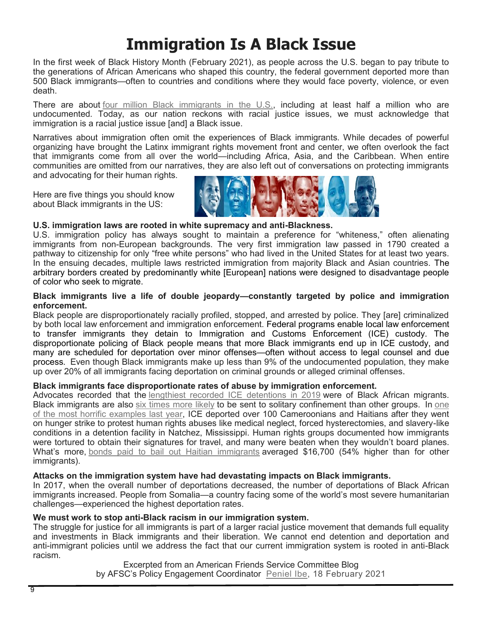# **Immigration Is A Black Issue**

In the first week of Black History Month (February 2021), as people across the U.S. began to pay tribute to the generations of African Americans who shaped this country, the federal government deported more than 500 Black immigrants—often to countries and conditions where they would face poverty, violence, or even death.

There are about [four million Black immigrants in the U.S.,](https://www.pewresearch.org/fact-tank/2018/01/24/key-facts-about-black-immigrants-in-the-u-s/) including at least half a million who are undocumented. Today, as our nation reckons with racial justice issues, we must acknowledge that immigration is a racial justice issue [and] a Black issue.

Narratives about immigration often omit the experiences of Black immigrants. While decades of powerful organizing have brought the Latinx immigrant rights movement front and center, we often overlook the fact that immigrants come from all over the world—including Africa, Asia, and the Caribbean. When entire communities are omitted from our narratives, they are also left out of conversations on protecting immigrants and advocating for their human rights.

Here are five things you should know about Black immigrants in the US:



#### **U.S. immigration laws are rooted in white supremacy and anti-Blackness.**

U.S. immigration policy has always sought to maintain a preference for "whiteness," often alienating immigrants from non-European backgrounds. The very first immigration law passed in 1790 created a pathway to citizenship for only "free white persons" who had lived in the United States for at least two years. In the ensuing decades, multiple laws restricted immigration from majority Black and Asian countries. The arbitrary borders created by predominantly white [European] nations were designed to disadvantage people of color who seek to migrate.

#### **Black immigrants live a life of double jeopardy—constantly targeted by police and immigration enforcement.**

Black people are disproportionately racially profiled, stopped, and arrested by police. They [are] criminalized by both local law enforcement and immigration enforcement. Federal programs enable local law enforcement to transfer immigrants they detain to Immigration and Customs Enforcement (ICE) custody. The disproportionate policing of Black people means that more Black immigrants end up in ICE custody, and many are scheduled for deportation over minor offenses—often without access to legal counsel and due process. Even though Black immigrants make up less than 9% of the undocumented population, they make up over 20% of all immigrants facing deportation on criminal grounds or alleged criminal offenses.

### **Black immigrants face disproportionate rates of abuse by immigration enforcement.**

Advocates recorded that the [lengthiest recorded ICE detentions in 2019](https://www.raicestexas.org/2020/07/22/black-immigrant-lives-are-under-attack) were of Black African migrants. Black immigrants are also [six times more likely](https://osf.io/preprints/socarxiv/zdy7f/) to be sent to solitary confinement than other groups. In one [of the most horrific examples last year,](https://www.dallasnews.com/news/immigration/2020/10/12/protests-grow-over-pending-deportations-to-cameroon-amid-abuse-allegations/?utm_source=Newsletter&utm_medium=email&utm_content=Protests+for+immigrants%2C+J+C++Penney+adding+home+brands%2C+Tarrant+County+t) ICE deported over 100 Cameroonians and Haitians after they went on hunger strike to protest human rights abuses like medical neglect, forced hysterectomies, and slavery-like conditions in a detention facility in Natchez, Mississippi. Human rights groups documented how immigrants were tortured to obtain their signatures for travel, and many were beaten when they wouldn't board planes. What's more, [bonds paid to bail out Haitian immigrants](https://www.raicestexas.org/2020/07/22/black-immigrant-lives-are-under-attack/) averaged \$16,700 (54% higher than for other immigrants).

#### **Attacks on the immigration system have had devastating impacts on Black immigrants.**

In 2017, when the overall number of deportations decreased, the number of deportations of Black African immigrants increased. People from Somalia—a country facing some of the world's most severe humanitarian challenges—experienced the highest deportation rates.

#### **We must work to stop anti-Black racism in our immigration system.**

The struggle for justice for all immigrants is part of a larger racial justice movement that demands full equality and investments in Black immigrants and their liberation. We cannot end detention and deportation and anti-immigrant policies until we address the fact that our current immigration system is rooted in anti-Black racism.

> Excerpted from an American Friends Service Committee Blog by AFSC's Policy Engagement Coordinator [Peniel Ibe,](https://www.afsc.org/content/peniel-ibe-0) 18 February 2021